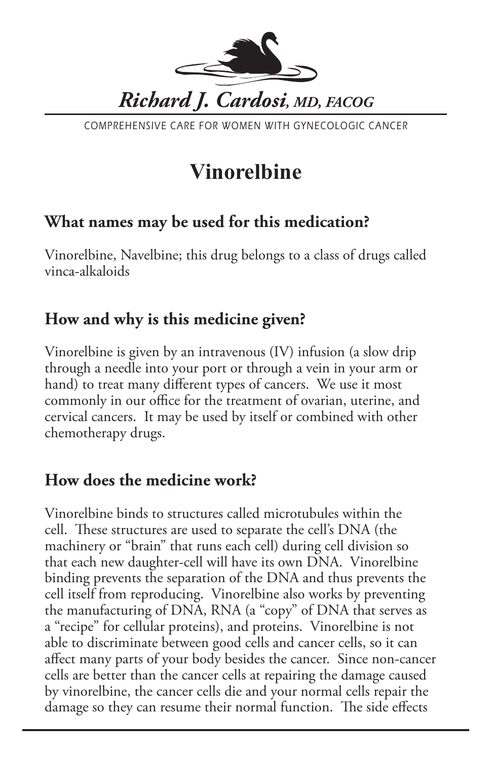

COMPREHENSIVE CARE FOR WOMEN WITH GYNECOLOGIC CANCER

# **Vinorelbine**

# **What names may be used for this medication?**

Vinorelbine, Navelbine; this drug belongs to a class of drugs called vinca-alkaloids

# **How and why is this medicine given?**

Vinorelbine is given by an intravenous (IV) infusion (a slow drip through a needle into your port or through a vein in your arm or hand) to treat many different types of cancers. We use it most commonly in our office for the treatment of ovarian, uterine, and cervical cancers. It may be used by itself or combined with other chemotherapy drugs.

# **How does the medicine work?**

Vinorelbine binds to structures called microtubules within the cell. These structures are used to separate the cell's DNA (the machinery or "brain" that runs each cell) during cell division so that each new daughter-cell will have its own DNA. Vinorelbine binding prevents the separation of the DNA and thus prevents the cell itself from reproducing. Vinorelbine also works by preventing the manufacturing of DNA, RNA (a "copy" of DNA that serves as a "recipe" for cellular proteins), and proteins. Vinorelbine is not able to discriminate between good cells and cancer cells, so it can affect many parts of your body besides the cancer. Since non-cancer cells are better than the cancer cells at repairing the damage caused by vinorelbine, the cancer cells die and your normal cells repair the damage so they can resume their normal function. The side effects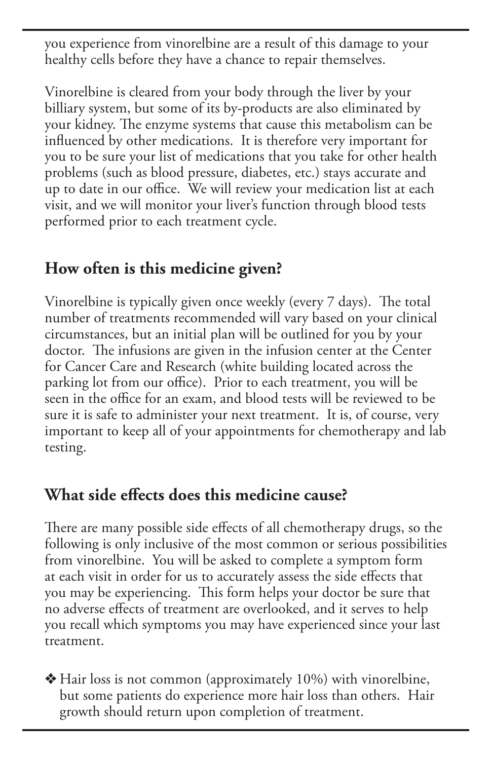you experience from vinorelbine are a result of this damage to your healthy cells before they have a chance to repair themselves.

Vinorelbine is cleared from your body through the liver by your billiary system, but some of its by-products are also eliminated by your kidney. The enzyme systems that cause this metabolism can be influenced by other medications. It is therefore very important for you to be sure your list of medications that you take for other health problems (such as blood pressure, diabetes, etc.) stays accurate and up to date in our office. We will review your medication list at each visit, and we will monitor your liver's function through blood tests performed prior to each treatment cycle.

### **How often is this medicine given?**

Vinorelbine is typically given once weekly (every 7 days). The total number of treatments recommended will vary based on your clinical circumstances, but an initial plan will be outlined for you by your doctor. The infusions are given in the infusion center at the Center for Cancer Care and Research (white building located across the parking lot from our office). Prior to each treatment, you will be seen in the office for an exam, and blood tests will be reviewed to be sure it is safe to administer your next treatment. It is, of course, very important to keep all of your appointments for chemotherapy and lab testing.

### **What side effects does this medicine cause?**

There are many possible side effects of all chemotherapy drugs, so the following is only inclusive of the most common or serious possibilities from vinorelbine. You will be asked to complete a symptom form at each visit in order for us to accurately assess the side effects that you may be experiencing. This form helps your doctor be sure that no adverse effects of treatment are overlooked, and it serves to help you recall which symptoms you may have experienced since your last treatment.

 $\triangle$  Hair loss is not common (approximately 10%) with vinorelbine, but some patients do experience more hair loss than others. Hair growth should return upon completion of treatment.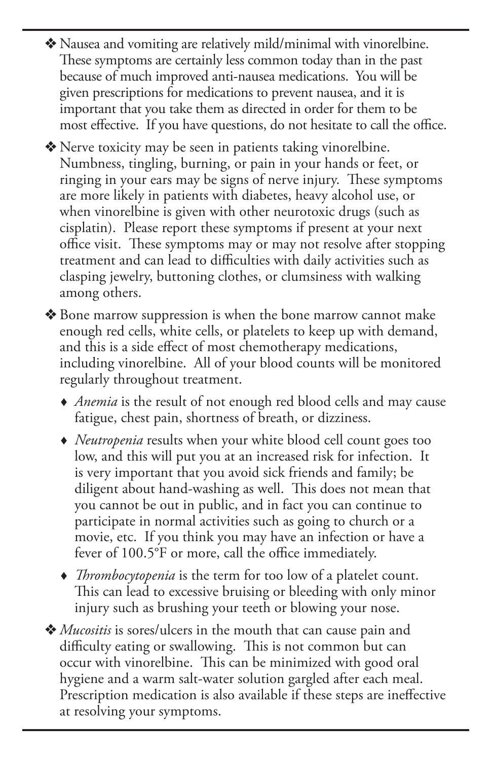- v Nausea and vomiting are relatively mild/minimal with vinorelbine. These symptoms are certainly less common today than in the past because of much improved anti-nausea medications. You will be given prescriptions for medications to prevent nausea, and it is important that you take them as directed in order for them to be most effective. If you have questions, do not hesitate to call the office.
- $\triangle$  Nerve toxicity may be seen in patients taking vinorelbine. Numbness, tingling, burning, or pain in your hands or feet, or ringing in your ears may be signs of nerve injury. These symptoms are more likely in patients with diabetes, heavy alcohol use, or when vinorelbine is given with other neurotoxic drugs (such as cisplatin). Please report these symptoms if present at your next office visit. These symptoms may or may not resolve after stopping treatment and can lead to difficulties with daily activities such as clasping jewelry, buttoning clothes, or clumsiness with walking among others.
- ◆ Bone marrow suppression is when the bone marrow cannot make enough red cells, white cells, or platelets to keep up with demand, and this is a side effect of most chemotherapy medications, including vinorelbine. All of your blood counts will be monitored regularly throughout treatment.
	- *Anemia* is the result of not enough red blood cells and may cause fatigue, chest pain, shortness of breath, or dizziness.
	- *Neutropenia* results when your white blood cell count goes too low, and this will put you at an increased risk for infection. It is very important that you avoid sick friends and family; be diligent about hand-washing as well. This does not mean that you cannot be out in public, and in fact you can continue to participate in normal activities such as going to church or a movie, etc. If you think you may have an infection or have a fever of 100.5°F or more, call the office immediately.
	- *Thrombocytopenia* is the term for too low of a platelet count. This can lead to excessive bruising or bleeding with only minor injury such as brushing your teeth or blowing your nose.
- v *Mucositis* is sores/ulcers in the mouth that can cause pain and difficulty eating or swallowing. This is not common but can occur with vinorelbine. This can be minimized with good oral hygiene and a warm salt-water solution gargled after each meal. Prescription medication is also available if these steps are ineffective at resolving your symptoms.